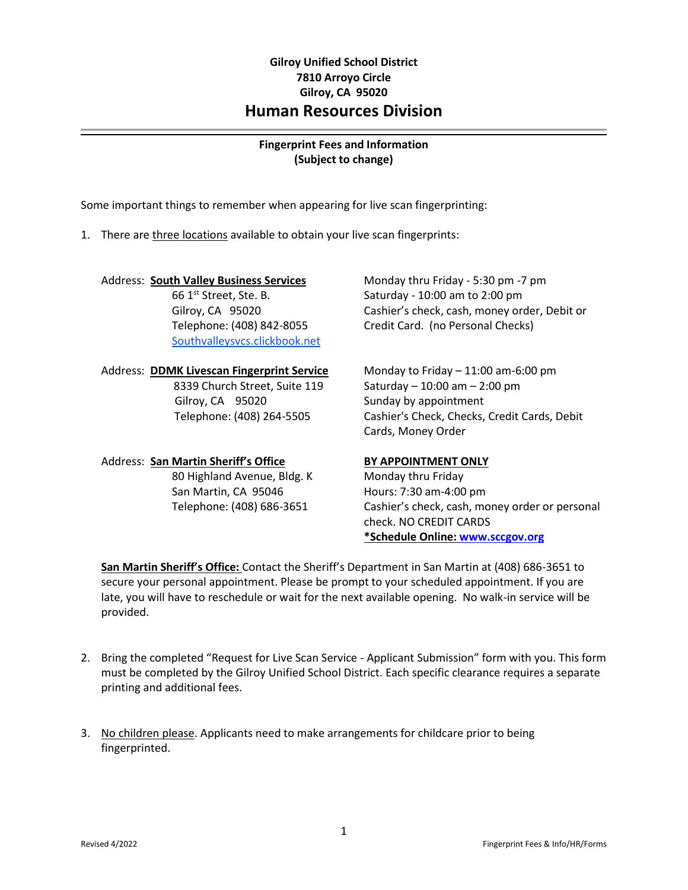## **Gilroy Unified School District 7810 Arroyo Circle Gilroy, CA 95020 Human Resources Division**

## **Fingerprint Fees and Information (Subject to change)**

Some important things to remember when appearing for live scan fingerprinting:

1. There are three locations available to obtain your live scan fingerprints:

### Address: **South Valley Business Services** Monday thru Friday - 5:30 pm -7 pm

[Southvalleysvcs.clickbook.net](http://southvalleysvcs.clickbook.net/)

# Address: **DDMK Livescan Fingerprint Service** Monday to Friday – 11:00 am-6:00 pm Gilroy, CA 95020 Sunday by appointment

# Address: **San Martin Sheriff's Office BY APPOINTMENT ONLY**

80 Highland Avenue, Bldg. K Monday thru Friday San Martin, CA 95046 Hours: 7:30 am-4:00 pm

 $661<sup>st</sup> Street, Ste. B.$  Saturday - 10:00 am to 2:00 pm Gilroy, CA 95020 Cashier's check, cash, money order, Debit or Telephone: (408) 842-8055 Credit Card. (no Personal Checks)

 8339 Church Street, Suite 119 Saturday – 10:00 am – 2:00 pm Telephone: (408) 264-5505 Cashier's Check, Checks, Credit Cards, Debit Cards, Money Order

Telephone: (408) 686-3651 Cashier's check, cash, money order or personal check. NO CREDIT CARDS **\*Schedule Online: [www.sccgov.org](http://www.sccgov.org/)**

**San Martin Sheriff's Office:** Contact the Sheriff's Department in San Martin at (408) 686-3651 to secure your personal appointment. Please be prompt to your scheduled appointment. If you are late, you will have to reschedule or wait for the next available opening. No walk-in service will be provided.

- 2. Bring the completed "Request for Live Scan Service Applicant Submission" form with you. This form must be completed by the Gilroy Unified School District. Each specific clearance requires a separate printing and additional fees.
- 3. No children please. Applicants need to make arrangements for childcare prior to being fingerprinted.